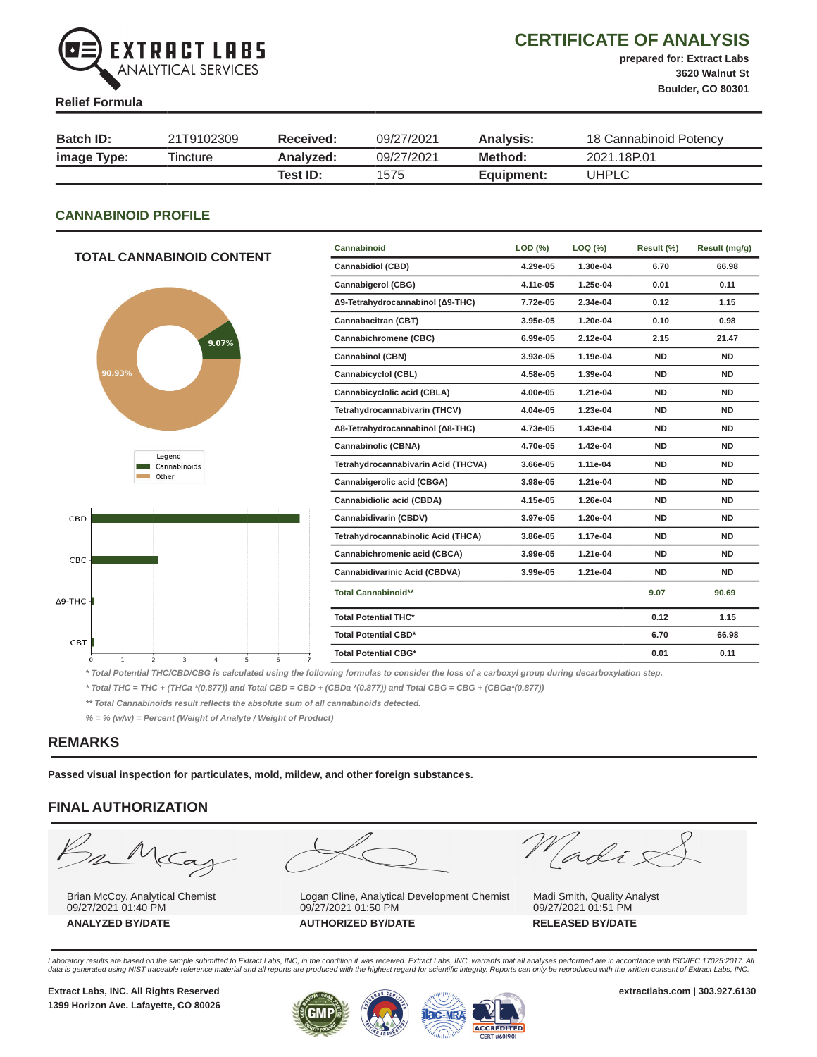

# CERTIFICATE OF ANALYSIS

prepared for: Extract Labs 3620 Walnut St Boulder, CO 80301

#### Relief Formula

| <b>Batch ID:</b> | 21T9102309 | Received: | 09/27/2021 | Analysis:  | 18 Cannabinoid Potency |
|------------------|------------|-----------|------------|------------|------------------------|
| image Type:      | Tincture   | Analvzed: | 09/27/2021 | Method:    | 2021.18P.01            |
|                  |            | Test ID:  | 1575       | Equipment: | UHPLC                  |

#### CANNABINOID PROFILE

|                                                                                               | Cannabinoid                         | LOD (%)  | LOQ (%)  | Result (%) | Result (mg/g) |
|-----------------------------------------------------------------------------------------------|-------------------------------------|----------|----------|------------|---------------|
| <b>TOTAL CANNABINOID CONTENT</b>                                                              | <b>Cannabidiol (CBD)</b>            | 4.29e-05 | 1.30e-04 | 6.70       | 66.98         |
|                                                                                               | <b>Cannabigerol (CBG)</b>           | 4.11e-05 | 1.25e-04 | 0.01       | 0.11          |
|                                                                                               | Δ9-Tetrahydrocannabinol (Δ9-THC)    | 7.72e-05 | 2.34e-04 | 0.12       | 1.15          |
|                                                                                               | Cannabacitran (CBT)                 | 3.95e-05 | 1.20e-04 | 0.10       | 0.98          |
| 9.07%                                                                                         | Cannabichromene (CBC)               | 6.99e-05 | 2.12e-04 | 2.15       | 21.47         |
|                                                                                               | <b>Cannabinol (CBN)</b>             | 3.93e-05 | 1.19e-04 | <b>ND</b>  | <b>ND</b>     |
| 90.93%                                                                                        | Cannabicyclol (CBL)                 | 4.58e-05 | 1.39e-04 | <b>ND</b>  | <b>ND</b>     |
|                                                                                               | Cannabicyclolic acid (CBLA)         | 4.00e-05 | 1.21e-04 | <b>ND</b>  | <b>ND</b>     |
|                                                                                               | Tetrahydrocannabivarin (THCV)       | 4.04e-05 | 1.23e-04 | <b>ND</b>  | <b>ND</b>     |
|                                                                                               | Δ8-Tetrahydrocannabinol (Δ8-THC)    | 4.73e-05 | 1.43e-04 | <b>ND</b>  | <b>ND</b>     |
| Legend                                                                                        | Cannabinolic (CBNA)                 | 4.70e-05 | 1.42e-04 | <b>ND</b>  | <b>ND</b>     |
| Cannabinoids                                                                                  | Tetrahydrocannabivarin Acid (THCVA) | 3.66e-05 | 1.11e-04 | <b>ND</b>  | <b>ND</b>     |
| Other                                                                                         | Cannabigerolic acid (CBGA)          | 3.98e-05 | 1.21e-04 | <b>ND</b>  | <b>ND</b>     |
|                                                                                               | Cannabidiolic acid (CBDA)           | 4.15e-05 | 1.26e-04 | <b>ND</b>  | <b>ND</b>     |
| CBD-                                                                                          | Cannabidivarin (CBDV)               | 3.97e-05 | 1.20e-04 | <b>ND</b>  | <b>ND</b>     |
|                                                                                               | Tetrahydrocannabinolic Acid (THCA)  | 3.86e-05 | 1.17e-04 | <b>ND</b>  | <b>ND</b>     |
| CBC-                                                                                          | Cannabichromenic acid (CBCA)        | 3.99e-05 | 1.21e-04 | <b>ND</b>  | <b>ND</b>     |
|                                                                                               | Cannabidivarinic Acid (CBDVA)       | 3.99e-05 | 1.21e-04 | <b>ND</b>  | <b>ND</b>     |
| ∙тнс <b>-і</b>                                                                                | <b>Total Cannabinoid**</b>          |          |          | 9.07       | 90.69         |
|                                                                                               | <b>Total Potential THC*</b>         |          |          | 0.12       | 1.15          |
| CBT-                                                                                          | <b>Total Potential CBD*</b>         |          |          | 6.70       | 66.98         |
| $\overline{2}$<br>5<br>$\Omega$<br>$\mathbf{1}$<br>3<br>$\overline{a}$<br>6<br>$\overline{7}$ | <b>Total Potential CBG*</b>         |          |          | 0.01       | 0.11          |

\* Total Potential THC/CBD/CBG is calculated using the following formulas to consider the loss of a carboxyl group during decarboxylation step.

\* Total THC = THC + (THCa \*(0.877)) and Total CBD = CBD + (CBDa \*(0.877)) and Total CBG = CBG + (CBGa\*(0.877))

\*\* Total Cannabinoids result reflects the absolute sum of all cannabinoids detected.

% = % (w/w) = Percent (Weight of Analyte / Weight of Product)

#### REMARKS

∆9-THC

Passed visual inspection for particulates, mold, mildew, and other foreign substances.

# FINAL AUTHORIZATION

 $\frac{1}{2}$  $\subset \hspace{-0.5ex} \subset \hspace{-0.5ex} \subset \hspace{-0.5ex} \subset$ 

Brian McCoy, Analytical Chemist 09/27/2021 01:40 PM



Logan Cline, Analytical Development Chemist 09/27/2021 01:50 PM ANALYZED BY/DATE AUTHORIZED BY/DATE RELEASED BY/DATE

Madis

Madi Smith, Quality Analyst 09/27/2021 01:51 PM

Laboratory results are based on the sample submitted to Extract Labs, INC, in the condition it was received. Extract Labs, INC, warrants that all analyses performed are in accordance with ISO/IEC 17025:2017. All<br>data is ge

1399 Horizon Ave. Lafayette, CO 80026

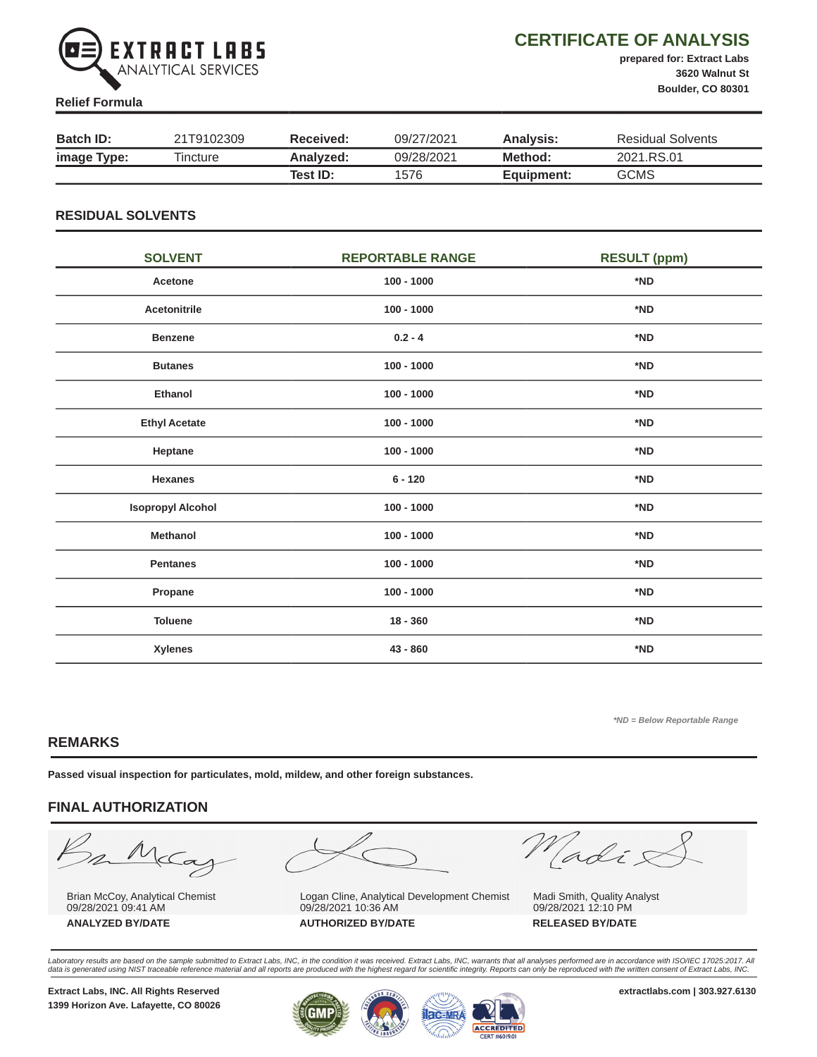

# CERTIFICATE OF ANALYSIS

prepared for: Extract Labs 3620 Walnut St Boulder, CO 80301

#### Relief Formula

| <b>Batch ID:</b> | 21T9102309 | Received: | 09/27/2021 | <b>Analysis:</b> | Residual Solvents |
|------------------|------------|-----------|------------|------------------|-------------------|
| image Type:      | Tincture   | Analyzed: | 09/28/2021 | Method:          | 2021.RS.01        |
|                  |            | Test ID:  | 1576       | Equipment:       | <b>GCMS</b>       |

#### RESIDUAL SOLVENTS

| <b>SOLVENT</b>           | <b>REPORTABLE RANGE</b> | <b>RESULT (ppm)</b> |
|--------------------------|-------------------------|---------------------|
| Acetone                  | $100 - 1000$            | *ND                 |
| Acetonitrile             | $100 - 1000$            | *ND                 |
| <b>Benzene</b>           | $0.2 - 4$               | *ND                 |
| <b>Butanes</b>           | $100 - 1000$            | *ND                 |
| <b>Ethanol</b>           | $100 - 1000$            | *ND                 |
| <b>Ethyl Acetate</b>     | $100 - 1000$            | *ND                 |
| Heptane                  | $100 - 1000$            | *ND                 |
| <b>Hexanes</b>           | $6 - 120$               | *ND                 |
| <b>Isopropyl Alcohol</b> | $100 - 1000$            | *ND                 |
| Methanol                 | $100 - 1000$            | *ND                 |
| <b>Pentanes</b>          | $100 - 1000$            | *ND                 |
| Propane                  | $100 - 1000$            | *ND                 |
| <b>Toluene</b>           | $18 - 360$              | *ND                 |
| <b>Xylenes</b>           | 43 - 860                | *ND                 |

\*ND = Below Reportable Range

# REMARKS

Passed visual inspection for particulates, mold, mildew, and other foreign substances.

# FINAL AUTHORIZATION

mMcCa

Brian McCoy, Analytical Chemist 09/28/2021 09:41 AM



Logan Cline, Analytical Development Chemist 09/28/2021 10:36 AM ANALYZED BY/DATE AUTHORIZED BY/DATE RELEASED BY/DATE

Madix

Madi Smith, Quality Analyst 09/28/2021 12:10 PM

Laboratory results are based on the sample submitted to Extract Labs, INC, in the condition it was received. Extract Labs, INC, warrants that all analyses performed are in accordance with ISO/IEC 17025:2017. All<br>data is ge

1399 Horizon Ave. Lafayette, CO 80026

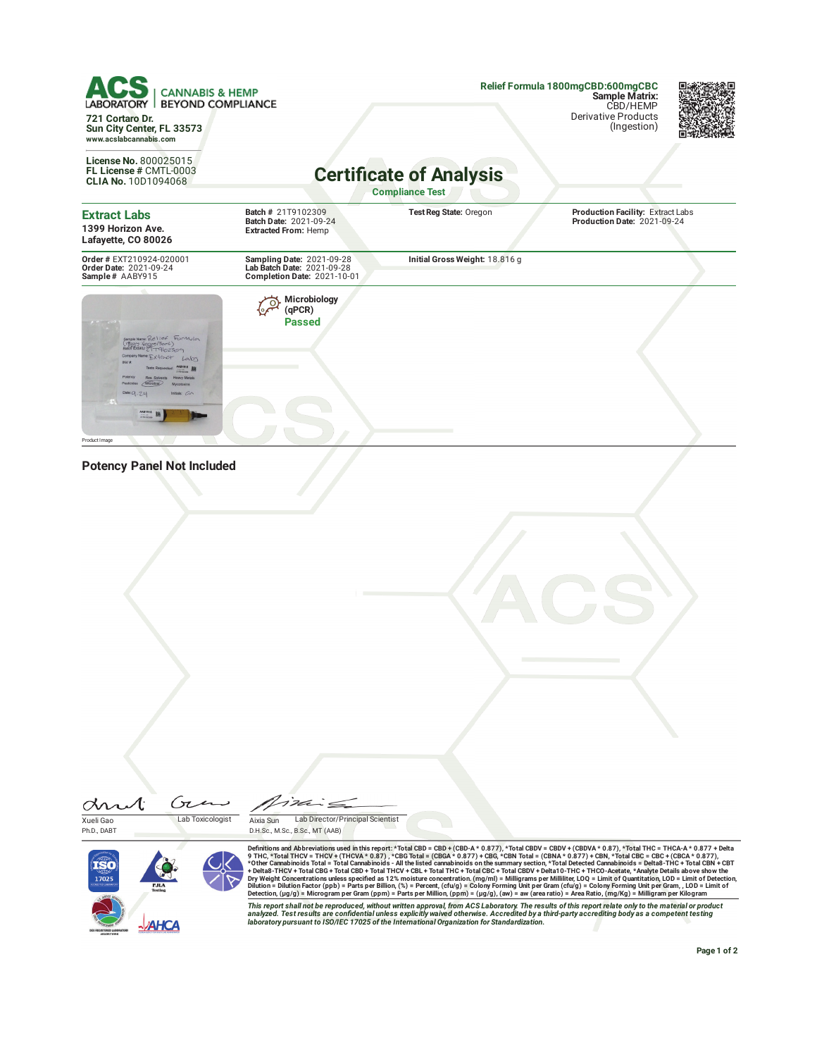**Relief Formula 1800mgCBD:600mgCBC Sample Matrix: CANNABIS & HEMP BEYOND COMPLIANCE** CBD/HEMP Derivative Products **721 Cortaro Dr.** (Ingestion) **Sun City Center, FL 33573 www.acslabcannabis.com License No.** 800025015 **Certi¦cate of Analysis FL License #** CMTL-0003 **CLIA No.** 10D1094068 **Compliance Test Batch #** 21T9102309 **Extract Labs Test Reg State:** Oregon **Production Facility:** Extract Labs **Production Date:** 2021-09-24 **Batch Date:** 2021-09-24 **1399 Horizon Ave. Extracted From:** Hemp **Lafayette, CO 80026 Initial Gross Weight:** 18.816 g **Order #** EXT210924-020001 **Order Date:** 2021-09-24 **Sample #** AABY915 **Sampling Date:** 2021-09-28 **Lab Batch Date:** 2021-09-28 **Completion Date:** 2021-10-01 **Microbiology (qPCR) Passed** Sample Name: Relief<br>(1993) Cooper / Bond<br>Batch DISKU: ETT 9/02 Extract **THE 198** 9-24  $\frac{1}{2179 \times 225 \times 10^{-14}}$ Product Image **Potency Panel Not Included**

dn Ćπ Xueli Gao Lab Toxicologist





Definitions and Abbreviations used in this report: \*Total CBD = CBD + (CBD-A \* 0.877), \*Total CBDV = CBDV + (CBDVA \* 0.87), \*CDd TCDVA \* 0.87), \*CDd TCDVA \* 0.877, \*Otal TCDC + THCVA \* 0.877, \*Otal TCBO + CBD + (CBNA \* 0.8

This report shall not be reproduced, without written approval, from ACS Laboratory. The results of this report relate only to the material or product<br>analyzed. Test results are confidential unless explicitly waived otherwi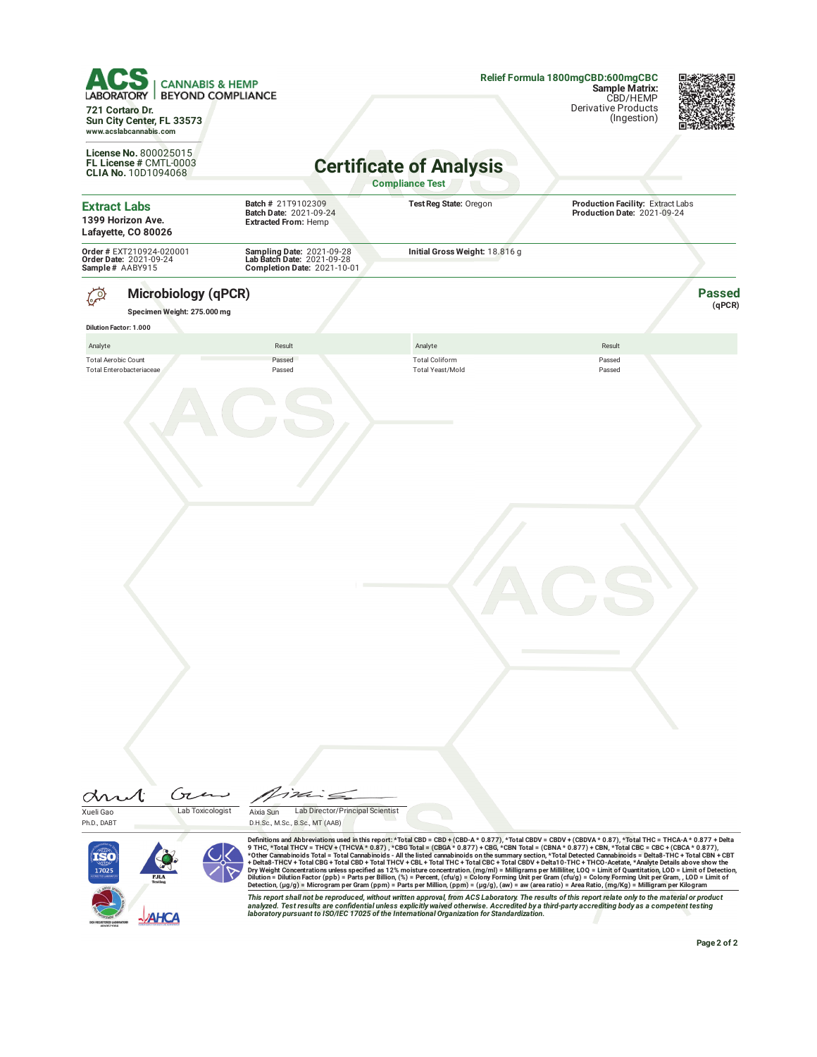| <b>CANNABIS &amp; HEMP</b><br><b>BEYOND COMPLIANCE</b><br>ABORATORY<br>721 Cortaro Dr.<br>Sun City Center, FL 33573 |                                                                                        |                                                                                                                                                                                                                                                                                                                                                                                                                                                                                                                                                                                                                                                                                                                                                                                                                                                                                                                                                                                                                                                                                                                                                                        | Relief Formula 1800mgCBD:600mgCBC<br><b>Sample Matrix:</b><br>CBD/HEMP<br><b>Derivative Products</b><br>(Ingestion) |                         |  |  |
|---------------------------------------------------------------------------------------------------------------------|----------------------------------------------------------------------------------------|------------------------------------------------------------------------------------------------------------------------------------------------------------------------------------------------------------------------------------------------------------------------------------------------------------------------------------------------------------------------------------------------------------------------------------------------------------------------------------------------------------------------------------------------------------------------------------------------------------------------------------------------------------------------------------------------------------------------------------------------------------------------------------------------------------------------------------------------------------------------------------------------------------------------------------------------------------------------------------------------------------------------------------------------------------------------------------------------------------------------------------------------------------------------|---------------------------------------------------------------------------------------------------------------------|-------------------------|--|--|
| www.acslabcannabis.com                                                                                              |                                                                                        |                                                                                                                                                                                                                                                                                                                                                                                                                                                                                                                                                                                                                                                                                                                                                                                                                                                                                                                                                                                                                                                                                                                                                                        |                                                                                                                     |                         |  |  |
| License No. 800025015<br>FL License # CMTL-0003<br><b>CLIA No. 10D1094068</b>                                       |                                                                                        | <b>Certificate of Analysis</b><br><b>Compliance Test</b>                                                                                                                                                                                                                                                                                                                                                                                                                                                                                                                                                                                                                                                                                                                                                                                                                                                                                                                                                                                                                                                                                                               |                                                                                                                     |                         |  |  |
| <b>Extract Labs</b><br>1399 Horizon Ave.<br>Lafayette, CO 80026                                                     | Batch # 21T9102309<br>Batch Date: 2021-09-24<br><b>Extracted From: Hemp</b>            | Test Reg State: Oregon                                                                                                                                                                                                                                                                                                                                                                                                                                                                                                                                                                                                                                                                                                                                                                                                                                                                                                                                                                                                                                                                                                                                                 | Production Facility: Extract Labs<br>Production Date: 2021-09-24                                                    |                         |  |  |
| Order # EXT210924-020001<br>Order Date: 2021-09-24<br>Sample# AABY915                                               | Sampling Date: 2021-09-28<br>Lab Batch Date: 2021-09-28<br>Completion Date: 2021-10-01 | Initial Gross Weight: 18.816 g                                                                                                                                                                                                                                                                                                                                                                                                                                                                                                                                                                                                                                                                                                                                                                                                                                                                                                                                                                                                                                                                                                                                         |                                                                                                                     |                         |  |  |
| <b>Microbiology (qPCR)</b><br>ည<br>Specimen Weight: 275.000 mg                                                      |                                                                                        |                                                                                                                                                                                                                                                                                                                                                                                                                                                                                                                                                                                                                                                                                                                                                                                                                                                                                                                                                                                                                                                                                                                                                                        |                                                                                                                     | <b>Passed</b><br>(qPCR) |  |  |
| Dilution Factor: 1.000                                                                                              |                                                                                        |                                                                                                                                                                                                                                                                                                                                                                                                                                                                                                                                                                                                                                                                                                                                                                                                                                                                                                                                                                                                                                                                                                                                                                        |                                                                                                                     |                         |  |  |
| Analyte                                                                                                             | Result                                                                                 | Analyte                                                                                                                                                                                                                                                                                                                                                                                                                                                                                                                                                                                                                                                                                                                                                                                                                                                                                                                                                                                                                                                                                                                                                                | Result                                                                                                              |                         |  |  |
| <b>Total Aerobic Count</b><br>Total Enterobacteriaceae                                                              | Passed<br>Passed                                                                       | <b>Total Coliform</b><br>Total Yeast/Mold                                                                                                                                                                                                                                                                                                                                                                                                                                                                                                                                                                                                                                                                                                                                                                                                                                                                                                                                                                                                                                                                                                                              | Passed<br>Passed                                                                                                    |                         |  |  |
|                                                                                                                     |                                                                                        |                                                                                                                                                                                                                                                                                                                                                                                                                                                                                                                                                                                                                                                                                                                                                                                                                                                                                                                                                                                                                                                                                                                                                                        |                                                                                                                     |                         |  |  |
| $\sigma$                                                                                                            | 1262                                                                                   |                                                                                                                                                                                                                                                                                                                                                                                                                                                                                                                                                                                                                                                                                                                                                                                                                                                                                                                                                                                                                                                                                                                                                                        |                                                                                                                     |                         |  |  |
| Lab Toxicologist<br>Xueli Gao                                                                                       | Lab Director/Principal Scientist<br>Aixia Sun                                          |                                                                                                                                                                                                                                                                                                                                                                                                                                                                                                                                                                                                                                                                                                                                                                                                                                                                                                                                                                                                                                                                                                                                                                        |                                                                                                                     |                         |  |  |
| Ph.D., DABT<br>17025                                                                                                | D.H.Sc., M.Sc., B.Sc., MT (AAB)                                                        | Definitions and Abbreviations used in this report: *Total CBD = CBD + (CBD-A * 0.877), *Total CBDV = CBDV + (CBDVA * 0.87), *Total THC = THCA-A * 0.877 + Delta<br>9 THC, *Total THCV = THCV + (THCVA * 0.87), *CBG Total = (CBGA * 0.877) + CBG, *CBN Total = (CBNA * 0.877) + CBN, *Total CBC = CBC + (CBCA * 0.877),<br>*Other Cannabinoids Total = Total Cannabinoids - All the listed cannabinoids on the summary section, *Total Detected Cannabinoids = Delta8-THC + Total CBN + CBT<br>+ Delta8-THCV + Total CBG + Total CBD + Total THCV + CBL + Total THC + Total CBC + Total CBDV + Delta10-THC + THCO-Acetate, *Analyte Details above show the<br>Dry Weight Concentrations unless specified as 12% moisture concentration. (mg/ml) = Milligrams per Milliliter, LOQ = Limit of Quantitation, LOD = Limit of Detection,<br>Dilution = Dilution Factor (ppb) = Parts per Billion, (%) = Percent, (cfu/g) = Colony Forming Unit per Gram (cfu/g) = Colony Forming Unit per Gram, , LOD = Limit of<br>Detection, (µg/g) = Microgram per Gram (ppm) = Parts per Million, (ppm) = (µg/g), (aw) = aw (area ratio) = Area Ratio, (mg/Kg) = Milligram per Kilogram |                                                                                                                     |                         |  |  |
|                                                                                                                     |                                                                                        | This report shall not be reproduced, without written approval, from ACS Laboratory. The results of this report relate only to the material or product<br>analyzed. Test results are confidential unless explicitly waived otherwise. Accredited by a third-party accrediting body as a competent testing<br>laboratory pursuant to ISO/IEC 17025 of the International Organization for Standardization.                                                                                                                                                                                                                                                                                                                                                                                                                                                                                                                                                                                                                                                                                                                                                                |                                                                                                                     | Page 2 of 2             |  |  |